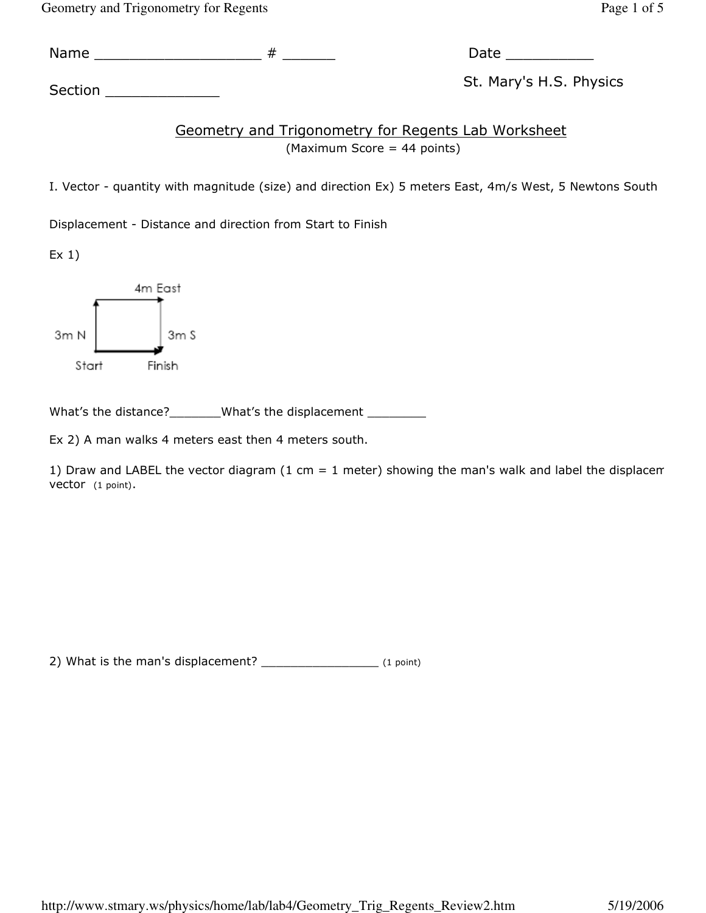Geometry and Trigonometry for Regents Page 1 of 5

Name \_\_\_\_\_\_\_\_\_\_\_\_\_\_\_\_\_\_\_ # \_\_\_\_\_\_ Date \_\_\_\_\_\_\_\_\_\_

Section \_\_\_\_\_\_\_\_\_\_\_\_\_ St. Mary's H.S. Physics

Geometry and Trigonometry for Regents Lab Worksheet (Maximum Score = 44 points)

I. Vector - quantity with magnitude (size) and direction Ex) 5 meters East, 4m/s West, 5 Newtons South

Displacement - Distance and direction from Start to Finish

 $Ex<sub>1</sub>$ )



What's the distance?\_\_\_\_\_\_\_\_What's the displacement \_\_\_\_\_\_\_\_\_

Ex 2) A man walks 4 meters east then 4 meters south.

1) Draw and LABEL the vector diagram (1 cm = 1 meter) showing the man's walk and label the displacem vector (1 point).

2) What is the man's displacement? \_\_\_\_\_\_\_\_\_\_\_\_\_\_\_\_\_\_\_\_ (1 point)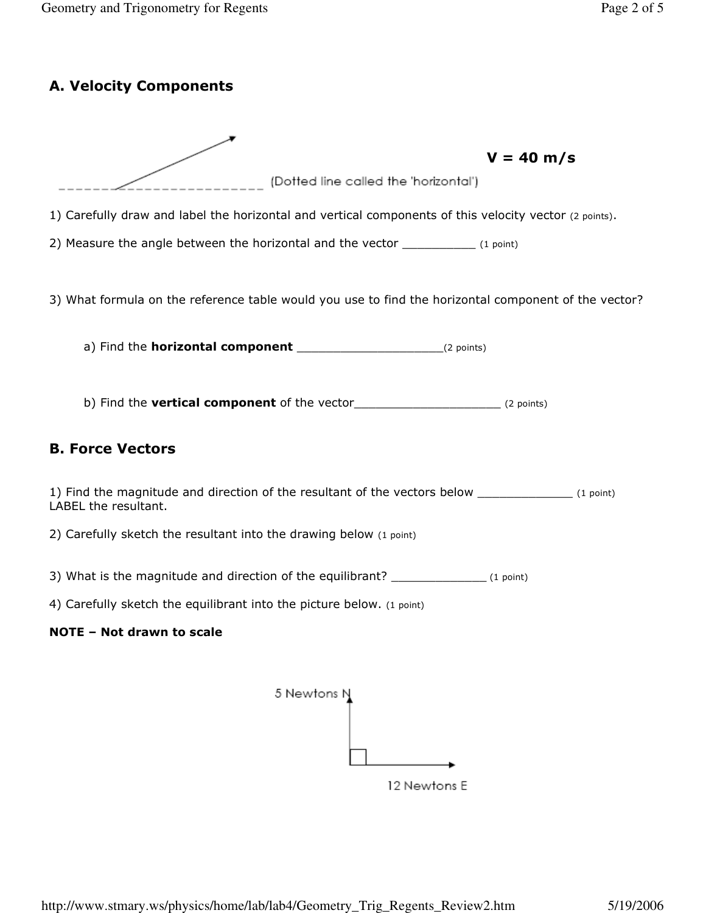# A. Velocity Components



12 Newtons E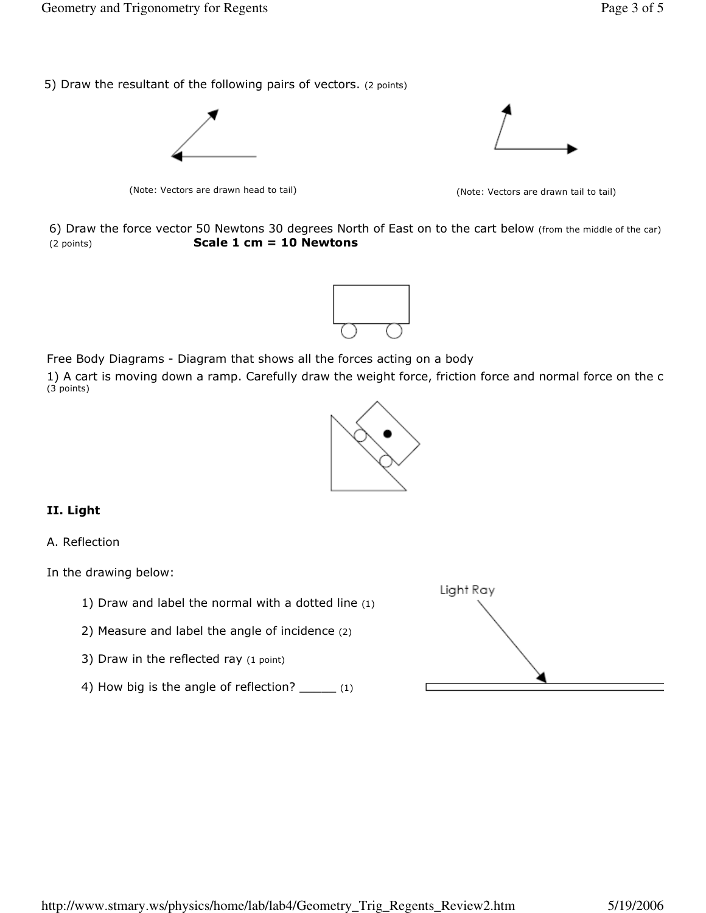5) Draw the resultant of the following pairs of vectors. (2 points)



(Note: Vectors are drawn head to tail) (Note: Vectors are drawn tail to tail)



6) Draw the force vector 50 Newtons 30 degrees North of East on to the cart below (from the middle of the car)  $(2 \text{ points})$  Scale 1 cm = 10 Newtons



Free Body Diagrams - Diagram that shows all the forces acting on a body

1) A cart is moving down a ramp. Carefully draw the weight force, friction force and normal force on the c (3 points)



## II. Light

#### A. Reflection

In the drawing below:

- 1) Draw and label the normal with a dotted line (1)
- 2) Measure and label the angle of incidence (2)
- 3) Draw in the reflected ray (1 point)
- 4) How big is the angle of reflection? \_\_\_\_\_ (1)

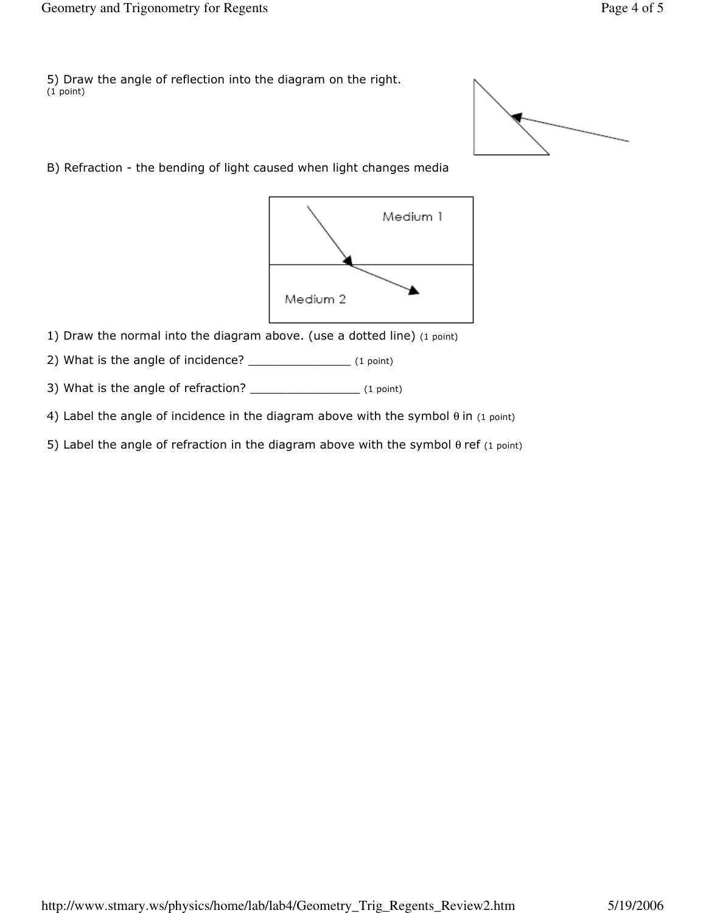5) Draw the angle of reflection into the diagram on the right. (1 point)

B) Refraction - the bending of light caused when light changes media



1) Draw the normal into the diagram above. (use a dotted line) (1 point)

2) What is the angle of incidence? \_\_\_\_\_\_\_\_\_\_\_\_\_\_\_\_\_\_ (1 point)

3) What is the angle of refraction? \_\_\_\_\_\_\_\_\_\_\_\_\_\_\_\_\_\_\_\_ (1 point)

- 4) Label the angle of incidence in the diagram above with the symbol  $\theta$  in (1 point)
- 5) Label the angle of refraction in the diagram above with the symbol  $θ$  ref (1 point)